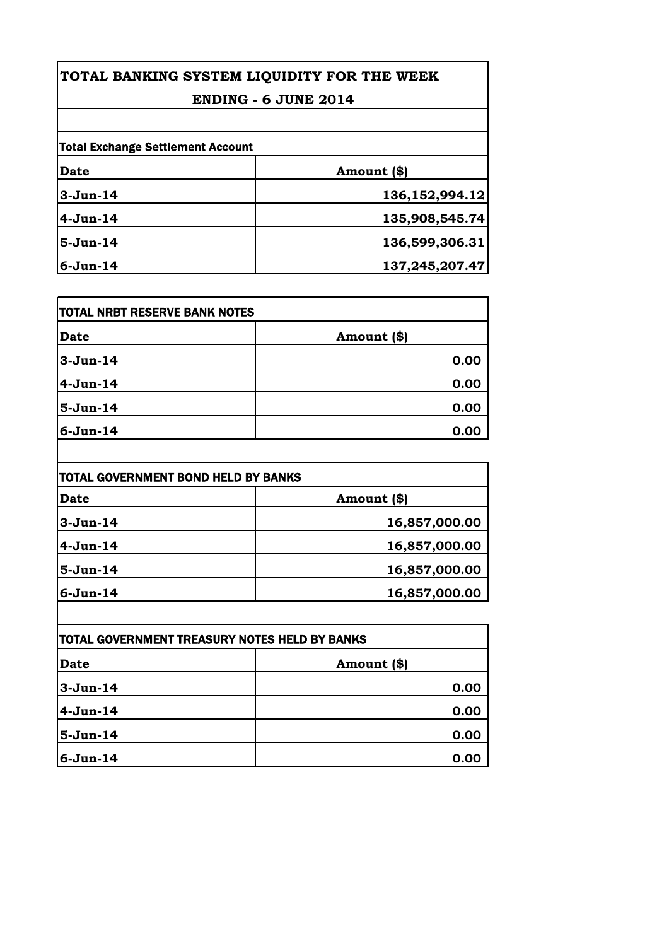# **TOTAL BANKING SYSTEM LIQUIDITY FOR THE WEEK**

### **ENDING - 6 JUNE 2014**

| <b>Total Exchange Settlement Account</b> |                   |
|------------------------------------------|-------------------|
| <b>Date</b>                              | Amount (\$)       |
| $3-Jun-14$                               | 136, 152, 994. 12 |
| $4-Jun-14$                               | 135,908,545.74    |
| $5-Jun-14$                               | 136,599,306.31    |
| $6-Jun-14$                               | 137,245,207.47    |

| <b>Date</b> | Amount (\$) |
|-------------|-------------|
| $3-Jun-14$  | 0.00        |
| $4-Jun-14$  | 0.00        |
| $5-Jun-14$  | 0.00        |
| $6-Jun-14$  | 0.00        |

| TOTAL GOVERNMENT BOND HELD BY BANKS |               |
|-------------------------------------|---------------|
| <b>Date</b>                         | Amount (\$)   |
| $3-Jun-14$                          | 16,857,000.00 |
| $4-Jun-14$                          | 16,857,000.00 |
| $5-Jun-14$                          | 16,857,000.00 |
| $6-Jun-14$                          | 16,857,000.00 |

| <b>TOTAL GOVERNMENT TREASURY NOTES HELD BY BANKS</b> |             |
|------------------------------------------------------|-------------|
| Date                                                 | Amount (\$) |
| 3-Jun-14                                             | 0.00        |
| $4-Jun-14$                                           | 0.00        |
| $5-Jun-14$                                           | 0.00        |
| $6 - Jun-14$                                         | 0.00        |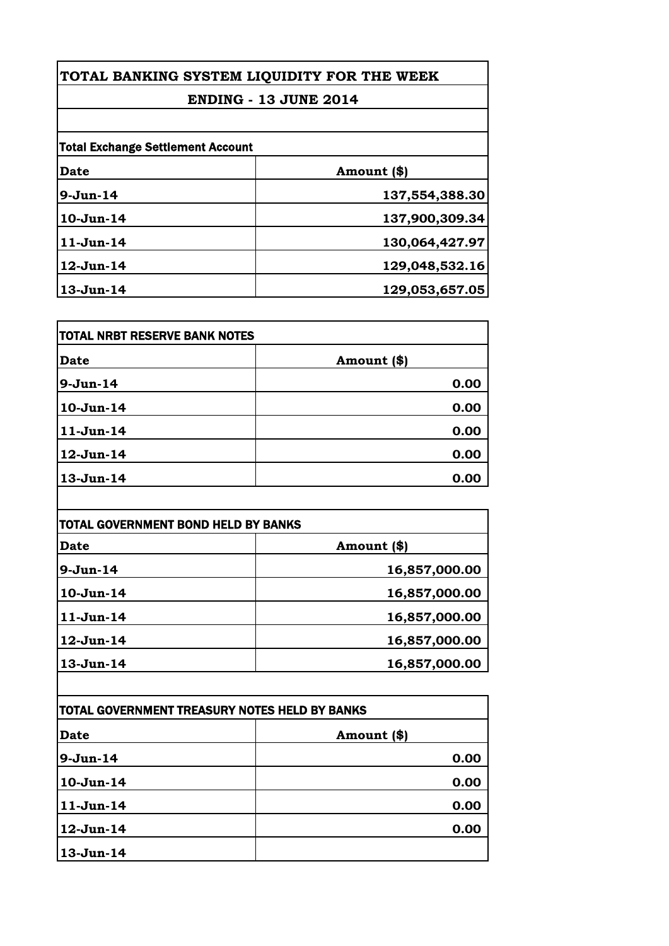## **TOTAL BANKING SYSTEM LIQUIDITY FOR THE WEEK**

### **ENDING - 13 JUNE 2014**

| <b>Total Exchange Settlement Account</b> |                |
|------------------------------------------|----------------|
| Date                                     | Amount (\$)    |
| $9-Jun-14$                               | 137,554,388.30 |
| 10-Jun-14                                | 137,900,309.34 |
| $11-Jun-14$                              | 130,064,427.97 |
| 12-Jun-14                                | 129,048,532.16 |
| 13-Jun-14                                | 129,053,657.05 |

| <b>TOTAL NRBT RESERVE BANK NOTES</b> |             |
|--------------------------------------|-------------|
| <b>Date</b>                          | Amount (\$) |
| $9-Jun-14$                           | 0.00        |
| $10-Jun-14$                          | 0.00        |
| $11-Jun-14$                          | 0.00        |
| 12-Jun-14                            | 0.00        |
| 13-Jun-14                            | 0.00        |

| TOTAL GOVERNMENT BOND HELD BY BANKS |               |
|-------------------------------------|---------------|
| <b>Date</b>                         | Amount (\$)   |
| $9-Jun-14$                          | 16,857,000.00 |
| $10-Jun-14$                         | 16,857,000.00 |
| $11-Jun-14$                         | 16,857,000.00 |
| 12-Jun-14                           | 16,857,000.00 |
| $13-Jun-14$                         | 16,857,000.00 |

| TOTAL GOVERNMENT TREASURY NOTES HELD BY BANKS |             |
|-----------------------------------------------|-------------|
| <b>Date</b>                                   | Amount (\$) |
| $9-Jun-14$                                    | 0.00        |
| $10-Jun-14$                                   | 0.00        |
| $11-Jun-14$                                   | 0.00        |
| 12-Jun-14                                     | 0.00        |
| $13 - Jun-14$                                 |             |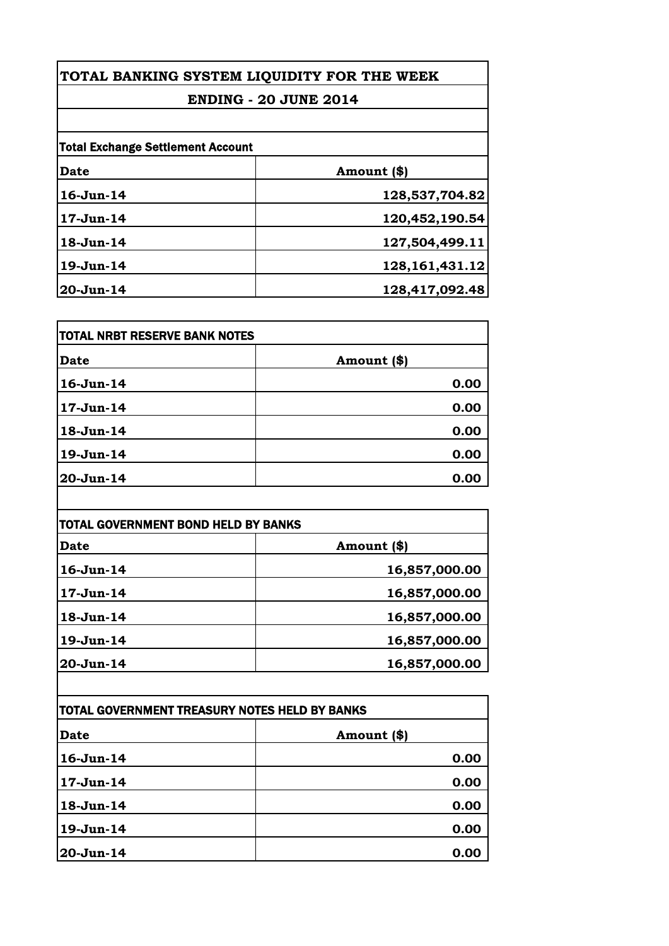## **TOTAL BANKING SYSTEM LIQUIDITY FOR THE WEEK**

### **ENDING - 20 JUNE 2014**

|           | <b>Total Exchange Settlement Account</b> |  |
|-----------|------------------------------------------|--|
| Date      | Amount (\$)                              |  |
| 16-Jun-14 | 128,537,704.82                           |  |
| 17-Jun-14 | 120,452,190.54                           |  |
| 18-Jun-14 | 127,504,499.11                           |  |
| 19-Jun-14 | 128, 161, 431. 12                        |  |
| 20-Jun-14 | 128,417,092.48                           |  |

| <b>TOTAL NRBT RESERVE BANK NOTES</b> |               |
|--------------------------------------|---------------|
| <b>Date</b>                          | Amount $(\$)$ |
| $16$ -Jun- $14$                      | 0.00          |
| $17 - Jun-14$                        | 0.00          |
| 18-Jun-14                            | 0.00          |
| 19-Jun-14                            | 0.00          |
| 20-Jun-14                            | 0.00          |

| TOTAL GOVERNMENT BOND HELD BY BANKS |               |
|-------------------------------------|---------------|
| <b>Date</b>                         | Amount (\$)   |
| $16$ -Jun- $14$                     | 16,857,000.00 |
| $17 - Jun-14$                       | 16,857,000.00 |
| 18-Jun-14                           | 16,857,000.00 |
| 19-Jun-14                           | 16,857,000.00 |
| 20-Jun-14                           | 16,857,000.00 |

| TOTAL GOVERNMENT TREASURY NOTES HELD BY BANKS |             |
|-----------------------------------------------|-------------|
| <b>Date</b>                                   | Amount (\$) |
| 16-Jun-14                                     | 0.00        |
| 17-Jun-14                                     | 0.00        |
| 18-Jun-14                                     | 0.00        |
| 19-Jun-14                                     | 0.00        |
| 20-Jun-14                                     | 0.00        |